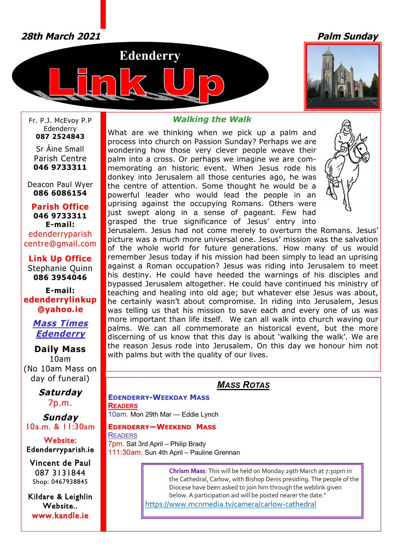*28th March 2021 Palm Sunday*





Fr. P.J. McEvoy P.P Edenderry **087 2524843**

Sr Áine Small Parish Centre **046 9733311**

Deacon Paul Wyer **086 6086154**

**Parish Office 046 9733311 E-mail:** edenderryparish [centre@gmail.com](mailto:centre@gmail.com)

**Link Up Office** Stephanie Quinn **086 3954046**

**E-mail: edenderrylinkup [@yahoo.ie](mailto:@yahoo.ie)**

> *Mass Times Edenderry*

**Daily Mass** 10am (No 10am Mass on day of funeral)

> *Saturday* 7p.m.

*Sunday* 10a.m. & 11:30am

**Website: Edenderryparish.ie**

**Vincent de Paul**  087 3131844 Shop: 0467938845

**Kildare & Leighlin Website.. [www.kandle.ie](http://www.kandle.ie)** 

# *Walking the Walk*

What are we thinking when we pick up a palm and process into church on Passion Sunday? Perhaps we are wondering how those very clever people weave their palm into a cross. Or perhaps we imagine we are commemorating an historic event. When Jesus rode his donkey into Jerusalem all those centuries ago, he was the centre of attention. Some thought he would be a powerful leader who would lead the people in an uprising against the occupying Romans. Others were just swept along in a sense of pageant. Few had grasped the true significance of Jesus' entry into



Jerusalem. Jesus had not come merely to overturn the Romans. Jesus' picture was a much more universal one. Jesus' mission was the salvation of the whole world for future generations. How many of us would remember Jesus today if his mission had been simply to lead an uprising against a Roman occupation? Jesus was riding into Jerusalem to meet his destiny. He could have heeded the warnings of his disciples and bypassed Jerusalem altogether. He could have continued his ministry of teaching and healing into old age; but whatever else Jesus was about, he certainly wasn't about compromise. In riding into Jerusalem, Jesus was telling us that his mission to save each and every one of us was more important than life itself. We can all walk into church waving our palms. We can all commemorate an historical event, but the more discerning of us know that this day is about 'walking the walk'. We are the reason Jesus rode into Jerusalem. On this day we honour him not with palms but with the quality of our lives.

# *MASS ROTAS*

**EDENDERRY-WEEKDAY MASS READERS**

10am. Mon 29th Mar — Eddie Lynch

# **EDENDERRY—WEEKEND MASS**

**READERS** 7pm. Sat 3rd April – Philip Brady 111:30am. Sun 4th April – Pauline Grennan

> **Chrism Mass**: This will be held on Monday 29th March at 7:30pm in the Cathedral, Carlow, with Bishop Denis presiding. The people of the Diocese have been asked to join him through the weblink given below. A participation aid will be posted nearer the date." <https://www.mcnmedia.tv/camera/carlow-cathedral>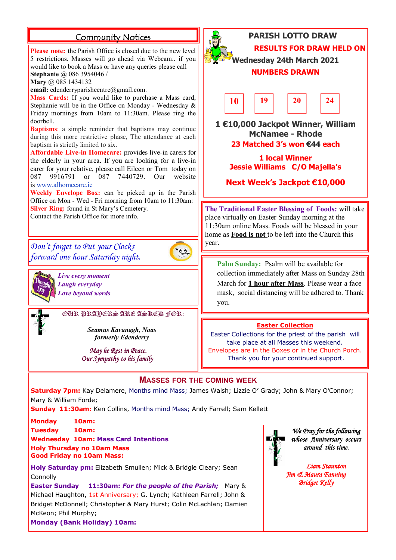# **Community Notices PARISH LOTTO DRAW**

**Please note:** the Parish Office is closed due to the new level 5 restrictions. Masses will go ahead via Webcam.. if you would like to book a Mass or have any queries please call **Stephanie** @ 086 3954046 / **Mary** @ 085 1434132 **email:** [edenderryparishcentre@gmail.com.](mailto:edenderryparishcentre@gmail.com.) **Mass Cards:** If you would like to purchase a Mass card, Stephanie will be in the Office on Monday - Wednesday & Friday mornings from 10am to 11:30am. Please ring the doorbell. **Baptisms**: a simple reminder that baptisms may continue during this more restrictive phase, The attendance at each baptism is strictly limited to six. **Affordable Live-in Homecare:** provides live-in carers for

the elderly in your area. If you are looking for a live-in carer for your relative, please call Eileen or Tom today on 087 9916791 or 087 7440729. Our website is [www.alhomecare.ie](http://www.alhomecare.ie)

**Weekly Envelope Box:** can be picked up in the Parish Office on Mon - Wed - Fri morning from 10am to 11:30am: **Silver Ring:** found in St Mary's Cemetery. Contact the Parish Office for more info.

Don't forget to Put your Clocks <u>deal</u> *forward one hour Saturday night.*



*Live every moment Laugh everyday Love beyond words*



OUR PRAYERS ARE ASKED FOR:

*Seamus Kavanagh, Naas formerly Edenderry*

 *May he Rest in Peace. Our Sympathy to his family* 

**1 €10,000 Jackpot Winner, William McNamee - Rhode 23 Matched 3's won €44 each 1 local Winner Jessie Williams C/O Majella's Next Week's Jackpot €10,000 10 19 20 24 Palm Sunday:** Psalm will be available for collection immediately after Mass on Sunday 28th March for **1 hour after Mass**. Please wear a face mask, social distancing will be adhered to. Thank you. **The Traditional Easter Blessing of Foods:** will take place virtually on Easter Sunday morning at the 11:30am online Mass. Foods will be blessed in your home as **Food is not** to be left into the Church this

**RESULTS FOR DRAW HELD ON** 

**Wednesday 24th March 2021 NUMBERS DRAWN**

# **Easter Collection**

Easter Collections for the priest of the parish will take place at all Masses this weekend. Envelopes are in the Boxes or in the Church Porch. Thank you for your continued support.

# **MASSES FOR THE COMING WEEK**

**Saturday 7pm:** Kay Delamere, Months mind Mass; James Walsh; Lizzie O' Grady; John & Mary O'Connor; Mary & William Forde;

**Sunday 11:30am:** Ken Collins, Months mind Mass; Andy Farrell; Sam Kellett

**Monday 10am: Tuesday 10am: Wednesday 10am: Mass Card Intentions Holy Thursday no 10am Mass Good Friday no 10am Mass:**

**Holy Saturday pm:** Elizabeth Smullen; Mick & Bridgie Cleary; Sean **Connolly** 

**Easter Sunday 11:30am:** *For the people of the Parish;* Mary & Michael Haughton, 1st Anniversary; G. Lynch; Kathleen Farrell; John & Bridget McDonnell; Christopher & Mary Hurst; Colin McLachlan; Damien McKeon; Phil Murphy;

**Monday (Bank Holiday) 10am:** 



*We Pray for the following whose Anniversary occurs around this time.* 

*Liam Staunton Jim & Maura Fanning Bridget Kelly*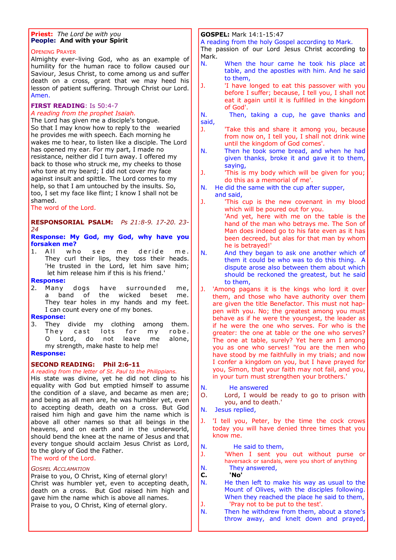#### **Priest:** *The Lord be with you* **People: And with your Spirit**

#### OPENING PRAYER

Almighty ever–living God, who as an example of humility for the human race to follow caused our Saviour, Jesus Christ, to come among us and suffer death on a cross, grant that we may heed his lesson of patient suffering. Through Christ our Lord. Amen.

# **FIRST READING**: Is 50:4-7

*A reading from the prophet Isaiah.*

The Lord has given me a disciple's tongue. So that I may know how to reply to the wearied he provides me with speech. Each morning he wakes me to hear, to listen like a disciple. The Lord has opened my ear. For my part, I made no resistance, neither did I turn away. I offered my back to those who struck me, my cheeks to those who tore at my beard; I did not cover my face against insult and spittle. The Lord comes to my help, so that I am untouched by the insults. So, too, I set my face like flint; I know I shall not be shamed.

The word of the Lord.

# **RESPONSORIAL PSALM:** *Ps 21:8-9. 17-20. 23- 24*

#### **Response: My God, my God, why have you forsaken me?**

1. All who see me deride me. They curl their lips, they toss their heads. 'He trusted in the Lord, let him save him; let him release him if this is his friend.'

## **Response:**

2. Many dogs have surrounded me, a band of the wicked beset me. They tear holes in my hands and my feet. I can count every one of my bones.

#### **Response:**

3. They divide my clothing among them. They cast lots for my robe. O Lord, do not leave me alone, my strength, make haste to help me!

# **Response:**

## **SECOND READING: Phil 2:6-11**

*A reading from the letter of St. Paul to the Philippians.* His state was divine, yet he did not cling to his equality with God but emptied himself to assume the condition of a slave, and became as men are; and being as all men are, he was humbler yet, even to accepting death, death on a cross. But God raised him high and gave him the name which is above all other names so that all beings in the heavens, and on earth and in the underworld, should bend the knee at the name of Jesus and that every tongue should acclaim Jesus Christ as Lord, to the glory of God the Father.

The word of the Lord.

#### *GOSPEL ACCLAMATION*

Praise to you, O Christ, King of eternal glory! Christ was humbler yet, even to accepting death, death on a cross. But God raised him high and gave him the name which is above all names. Praise to you, O Christ, King of eternal glory.

#### **GOSPEL:** Mark 14:1-15:47

A reading from the holy Gospel according to Mark. The passion of our Lord Jesus Christ according to Mark.

- N. When the hour came he took his place at table, and the apostles with him. And he said to them,
- J. 'I have longed to eat this passover with you before I suffer; because, I tell you, I shall not eat it again until it is fulfilled in the kingdom of God'.

N. Then, taking a cup, he gave thanks and said,

- J. 'Take this and share it among you, because from now on, I tell you, I shall not drink wine until the kingdom of God comes'.
- N. Then he took some bread, and when he had given thanks, broke it and gave it to them, saying,
- J. 'This is my body which will be given for you; do this as a memorial of me'.
- N. He did the same with the cup after supper, and said,
- J. 'This cup is the new covenant in my blood which will be poured out for you. 'And yet, here with me on the table is the hand of the man who betrays me. The Son of Man does indeed go to his fate even as it has been decreed, but alas for that man by whom he is betrayed!'
- N. And they began to ask one another which of them it could be who was to do this thing. A dispute arose also between them about which should be reckoned the greatest, but he said to them,
- J. 'Among pagans it is the kings who lord it over them, and those who have authority over them are given the title Benefactor. This must not happen with you. No; the greatest among you must behave as if he were the youngest, the leader as if he were the one who serves. For who is the greater: the one at table or the one who serves? The one at table, surely? Yet here am I among you as one who serves! 'You are the men who have stood by me faithfully in my trials; and now I confer a kingdom on you, but I have prayed for you, Simon, that your faith may not fail, and you, in your turn must strengthen your brothers.'
- N. He answered
- O. Lord, I would be ready to go to prison with you, and to death.'
- N. Jesus replied,
- J. 'I tell you, Peter, by the time the cock crows today you will have denied three times that you know me.
- N. He said to them,
- J. 'When I sent you out without purse or haversack or sandals, were you short of anything
- N. They answered,
- **C. 'No'**  N. He then left to make his way as usual to the Mount of Olives, with the disciples following. When they reached the place he said to them, J. 'Pray not to be put to the test'.
- N. Then he withdrew from them, about a stone's throw away, and knelt down and prayed,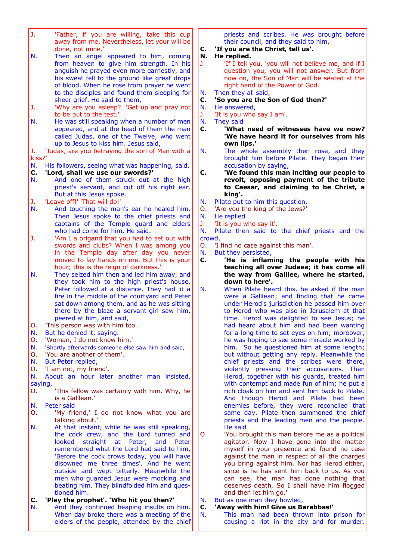- J. 'Father, if you are willing, take this cup away from me. Nevertheless, let your will be done, not mine.'
- N. Then an angel appeared to him, coming from heaven to give him strength. In his anguish he prayed even more earnestly, and his sweat fell to the ground like great drops of blood. When he rose from prayer he went to the disciples and found them sleeping for sheer grief. He said to them,
- J. 'Why are you asleep?. 'Get up and pray not to be put to the test.'
- N. He was still speaking when a number of men appeared, and at the head of them the man called Judas, one of the Twelve, who went up to Jesus to kiss him. Jesus said,

J. 'Judas, are you betraying the son of Man with a kiss?'

N. His followers, seeing what was happening, said,

#### **C. 'Lord, shall we use our swords?'**

- N. And one of them struck out at the high priest's servant, and cut off his right ear. But at this Jesus spoke.
- J. 'Leave off!' 'That will do!'
- N. And touching the man's ear he healed him. Then Jesus spoke to the chief priests and captains of the Temple guard and elders who had come for him. He said.
- J. 'Am I a brigand that you had to set out with swords and clubs? When I was among you in the Temple day after day you never moved to lay hands on me. But this is your hour; this is the reign of darkness.'
- N. They seized him then and led him away, and they took him to the high priest's house. Peter followed at a distance. They had lit a fire in the middle of the courtyard and Peter sat down among them, and as he was sitting there by the blaze a servant-girl saw him, peered at him, and said,
- O. 'This person was with him too'.
- N. But he denied it, saying.
- O. 'Woman, I do not know him.'
- N. 'Shortly afterwards someone else saw him and said,
- O. 'You are another of them'.
- N. But Peter replied,
- O. 'I am not, my friend'.
- N. About an hour later another man insisted, saying,
- O. 'This fellow was certainly with him. Why, he is a Galilean.'
- N. Peter said
- O. 'My friend,' I do not know what you are talking about.'
- N. At that instant, while he was still speaking, the cock crew, and the Lord turned and looked straight at Peter, and Peter remembered what the Lord had said to him, 'Before the cock crows today, you will have disowned me three times'. And he went outside and wept bitterly. Meanwhile the men who guarded Jesus were mocking and beating him. They blindfolded him and questioned him.
- **C. 'Play the prophet'. 'Who hit you then?'**
- N. And they continued heaping insults on him. When day broke there was a meeting of the elders of the people, attended by the chief

priests and scribes. He was brought before their council, and they said to him,

- **C. 'If you are the Christ, tell us'.**
- **N. He replied.**
- J. 'If I tell you, 'you will not believe me, and if I question you, you will not answer. But from now on, the Son of Man will be seated at the right hand of the Power of God.
- N. Then they all said,
- **C. 'So you are the Son of God then?'**
- N. He answered,
- J. 'It is you who say I am'.
- N. They said
- **C. 'What need of witnesses have we now? 'We have heard it for ourselves from his own lips.'**
- N. The whole assembly then rose, and they brought him before Pilate. They began their accusation by saying,
- **C. 'We found this man inciting our people to revolt, opposing payment of the tribute to Caesar, and claiming to be Christ, a king'.**
- N. Pilate put to him this question,
- O. 'Are you the king of the Jews?'
- N. He replied
- J. 'It is you who say it'.
- N. Pilate then said to the chief priests and the crowd,
- O. 'I find no case against this man'.
- N. But they persisted,
- **C. 'He is inflaming the people with his teaching all over Judaea; it has come all the way from Galilee, where he started, down to here'.**
- N. When Pilate heard this, he asked if the man were a Galilean; and finding that he came under Herod's jurisdiction he passed him over to Herod who was also in Jerusalem at that time. Herod was delighted to see Jesus; he had heard about him and had been wanting for a long time to set eyes on him; moreover, he was hoping to see some miracle worked by him. So he questioned him at some length; but without getting any reply. Meanwhile the chief priests and the scribes were there, violently pressing their accusations. Then Herod, together with his guards, treated him with contempt and made fun of him; he put a rich cloak on him and sent him back to Pilate. And though Herod and Pilate had been enemies before, they were reconciled that same day. Pilate then summoned the chief priests and the leading men and the people. He said

O. 'You brought this man before me as a political agitator. Now I have gone into the matter myself in your presence and found no case against the man in respect of all the charges you bring against him. Nor has Herod either, since is he has sent him back to us. As you can see, the man has done nothing that deserves death, So I shall have him flogged and then let him go.'

N. But as one man they howled,

## **C. 'Away with him! Give us Barabbas!'**

#### N. This man had been thrown into prison for causing a riot in the city and for murder.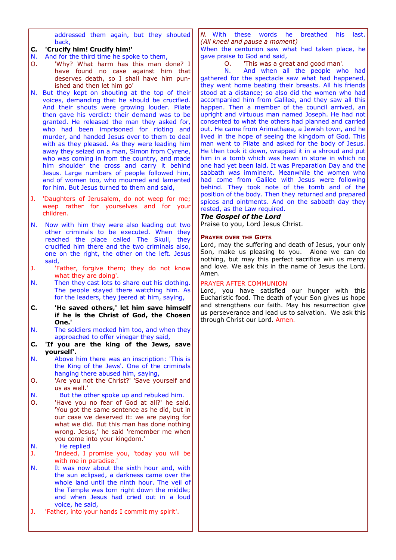addressed them again, but they shouted back,

## **C. 'Crucify him! Crucify him!'**

- N. And for the third time he spoke to them,
- O. 'Why? What harm has this man done? I have found no case against him that deserves death, so I shall have him punished and then let him go'
- N. But they kept on shouting at the top of their voices, demanding that he should be crucified. And their shouts were growing louder. Pilate then gave his verdict: their demand was to be granted. He released the man they asked for, who had been imprisoned for rioting and murder, and handed Jesus over to them to deal with as they pleased. As they were leading him away they seized on a man, Simon from Cyrene, who was coming in from the country, and made him shoulder the cross and carry it behind Jesus. Large numbers of people followed him, and of women too, who mourned and lamented for him. But Jesus turned to them and said,
- J. 'Daughters of Jerusalem, do not weep for me; weep rather for yourselves and for your children.
- N. Now with him they were also leading out two other criminals to be executed. When they reached the place called The Skull, they crucified him there and the two criminals also, one on the right, the other on the left. Jesus said,
- J. 'Father, forgive them; they do not know what they are doing'.
- N. Then they cast lots to share out his clothing. The people stayed there watching him. As for the leaders, they jeered at him, saying,
- **C. 'He saved others,' let him save himself if he is the Christ of God, the Chosen One.'**
- N. The soldiers mocked him too, and when they approached to offer vinegar they said,
- **C. 'If you are the king of the Jews, save yourself'.**
- N. Above him there was an inscription: 'This is the King of the Jews'. One of the criminals hanging there abused him, saying,
- O. 'Are you not the Christ?' 'Save yourself and us as well.'
- N. But the other spoke up and rebuked him.
- O. 'Have you no fear of God at all?' he said. 'You got the same sentence as he did, but in our case we deserved it: we are paying for what we did. But this man has done nothing wrong. Jesus,' he said 'remember me when you come into your kingdom.'
- N. He replied
- J. 'Indeed, I promise you, 'today you will be with me in paradise.'
- N. It was now about the sixth hour and, with the sun eclipsed, a darkness came over the whole land until the ninth hour. The veil of the Temple was torn right down the middle; and when Jesus had cried out in a loud voice, he said,
- J. 'Father, into your hands I commit my spirit'.

*N.* With these words he breathed his last. *(All kneel and pause a moment)* When the centurion saw what had taken place, he

gave praise to God and said,

O. 'This was a great and good man'.

N. And when all the people who had gathered for the spectacle saw what had happened, they went home beating their breasts. All his friends stood at a distance; so also did the women who had accompanied him from Galilee, and they saw all this happen. Then a member of the council arrived, an upright and virtuous man named Joseph. He had not consented to what the others had planned and carried out. He came from Arimathaea, a Jewish town, and he lived in the hope of seeing the kingdom of God. This man went to Pilate and asked for the body of Jesus. He then took it down, wrapped it in a shroud and put him in a tomb which was hewn in stone in which no one had yet been laid. It was Preparation Day and the sabbath was imminent. Meanwhile the women who had come from Galilee with Jesus were following behind. They took note of the tomb and of the position of the body. Then they returned and prepared spices and ointments. And on the sabbath day they rested, as the Law required.

# *The Gospel of the Lord*

Praise to you, Lord Jesus Christ.

#### **PRAYER OVER THE GIFTS**

Lord, may the suffering and death of Jesus, your only Son, make us pleasing to you. Alone we can do nothing, but may this perfect sacrifice win us mercy and love. We ask this in the name of Jesus the Lord. Amen.

#### PRAYER AFTER COMMUNION

Lord, you have satisfied our hunger with this Eucharistic food. The death of your Son gives us hope and strengthens our faith. May his resurrection give us perseverance and lead us to salvation. We ask this through Christ our Lord. Amen.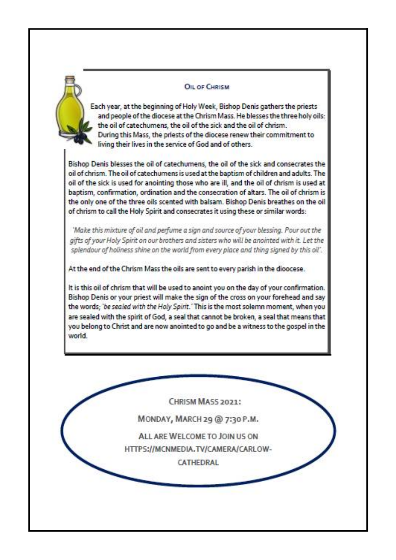# Он от Снегси-

Each vear, at the beginning of Holy Week. Bishoo Denis gathers the priests and people of the diocese at the Chrism Mass. He blesses the three holy oils: the oil of catechumens, the oil of the sick and the oil of chrism. During this Mass, the priests of the diocese renew their commitment to living their lives in the service of God and of others.

Bishop Denis blesses the oil of catechumens, the oil of the sick and consecrates the oil of chrism. The oil of catechumens is used at the baptism of children and adults. The oil of the sick is used for anointing those who are ill, and the oil of chrism is used at baptism, confirmation, ordination and the consecration of altars. The oil of chrism is the only one of the three oils scented with balsam. Bishop Denis breathes on the oil of chrism to call the Holy Spirit and consecrates it using these or similar words:

'Make this mixture of ail and perfume a sign and source of your blessing. Pour out the gifts of your Holy Spirit on our brothers and sisters who will be anointed with it. Let the splendour of holiness shine on the world from every place and thing signed by this oil'.

At the end of the Chrism Mass the oils are sent to every parish in the dioocese.

It is this oil of chrism that will be used to anoint you on the day of your confirmation. Bishop Denis or your priest will make the sign of the cross on your forehead and say the words; 'be sealed with the Holy Spirit.' This is the most solemn moment, when you are sealed with the spirit of God, a seal that cannot be broken, a seal that means that you belong to Christ and are now anointed to go and be a witness to the gospel in the **binow** 

CHRISM MASS 2021:

MONDAY, MARCH 29 @ 7:30 P.M.

ALL ARE WELCOME TO JOIN US ON HTTPS://MCNMEDIA.TV/CAMERA/CARLOW-CATHEDRAL